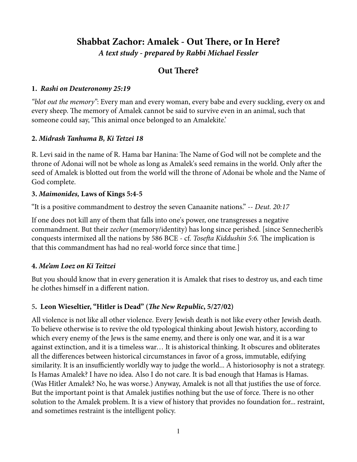# **Shabbat Zachor: Amalek - Out There, or In Here?** *A text study - prepared by Rabbi Michael Fessler*

# **Out There?**

#### **1.** *Rashi on Deuteronomy 25:19*

*"blot out the memory"*: Every man and every woman, every babe and every suckling, every ox and every sheep. The memory of Amalek cannot be said to survive even in an animal, such that someone could say, 'This animal once belonged to an Amalekite.'

## **2.** *Midrash Tanhuma B, Ki Tetzei 18*

R. Levi said in the name of R. Hama bar Hanina: The Name of God will not be complete and the throne of Adonai will not be whole as long as Amalek's seed remains in the world. Only afer the seed of Amalek is blotted out from the world will the throne of Adonai be whole and the Name of God complete.

#### **3.** *Maimonides,* **Laws of Kings 5:4-5**

"It is a positive commandment to destroy the seven Canaanite nations." -- *Deut. 20:17*

If one does not kill any of them that falls into one's power, one transgresses a negative commandment. But their *zecher* (memory/identity) has long since perished. [since Sennecherib's conquests intermixed all the nations by 586 BCE - cf. *Tosefta Kiddushin 5:6*. The implication is that this commandment has had no real-world force since that time*.*]

## **4.** *Me'am Loez on Ki Teitzei*

But you should know that in every generation it is Amalek that rises to destroy us, and each time he clothes himself in a diferent nation.

## 5**. Leon Wieseltier, "Hitler is Dead" (T***e New Republic***, 5/27/02)**

All violence is not like all other violence. Every Jewish death is not like every other Jewish death. To believe otherwise is to revive the old typological thinking about Jewish history, according to which every enemy of the Jews is the same enemy, and there is only one war, and it is a war against extinction, and it is a timeless war… It is ahistorical thinking. It obscures and obliterates all the diferences between historical circumstances in favor of a gross, immutable, edifying similarity. It is an insufficiently worldly way to judge the world... A historiosophy is not a strategy. Is Hamas Amalek? I have no idea. Also I do not care. It is bad enough that Hamas is Hamas. (Was Hitler Amalek? No, he was worse.) Anyway, Amalek is not all that justifes the use of force. But the important point is that Amalek justifies nothing but the use of force. There is no other solution to the Amalek problem. It is a view of history that provides no foundation for... restraint, and sometimes restraint is the intelligent policy.